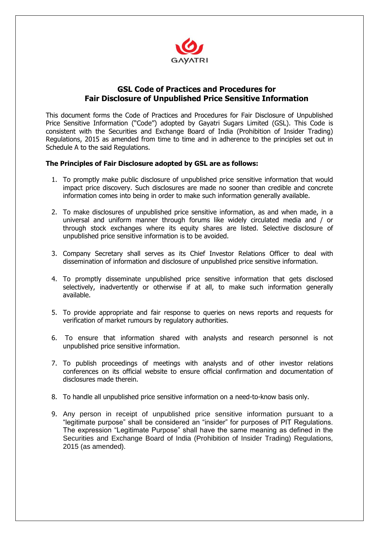

## **GSL Code of Practices and Procedures for Fair Disclosure of Unpublished Price Sensitive Information**

This document forms the Code of Practices and Procedures for Fair Disclosure of Unpublished Price Sensitive Information ("Code") adopted by Gayatri Sugars Limited (GSL). This Code is consistent with the Securities and Exchange Board of India (Prohibition of Insider Trading) Regulations, 2015 as amended from time to time and in adherence to the principles set out in Schedule A to the said Regulations.

## **The Principles of Fair Disclosure adopted by GSL are as follows:**

- 1. To promptly make public disclosure of unpublished price sensitive information that would impact price discovery. Such disclosures are made no sooner than credible and concrete information comes into being in order to make such information generally available.
- 2. To make disclosures of unpublished price sensitive information, as and when made, in a universal and uniform manner through forums like widely circulated media and / or through stock exchanges where its equity shares are listed. Selective disclosure of unpublished price sensitive information is to be avoided.
- 3. Company Secretary shall serves as its Chief Investor Relations Officer to deal with dissemination of information and disclosure of unpublished price sensitive information.
- 4. To promptly disseminate unpublished price sensitive information that gets disclosed selectively, inadvertently or otherwise if at all, to make such information generally available.
- 5. To provide appropriate and fair response to queries on news reports and requests for verification of market rumours by regulatory authorities.
- 6. To ensure that information shared with analysts and research personnel is not unpublished price sensitive information.
- 7. To publish proceedings of meetings with analysts and of other investor relations conferences on its official website to ensure official confirmation and documentation of disclosures made therein.
- 8. To handle all unpublished price sensitive information on a need-to-know basis only.
- 9. Any person in receipt of unpublished price sensitive information pursuant to a "legitimate purpose" shall be considered an "insider" for purposes of PIT Regulations. The expression "Legitimate Purpose" shall have the same meaning as defined in the Securities and Exchange Board of India (Prohibition of Insider Trading) Regulations, 2015 (as amended).